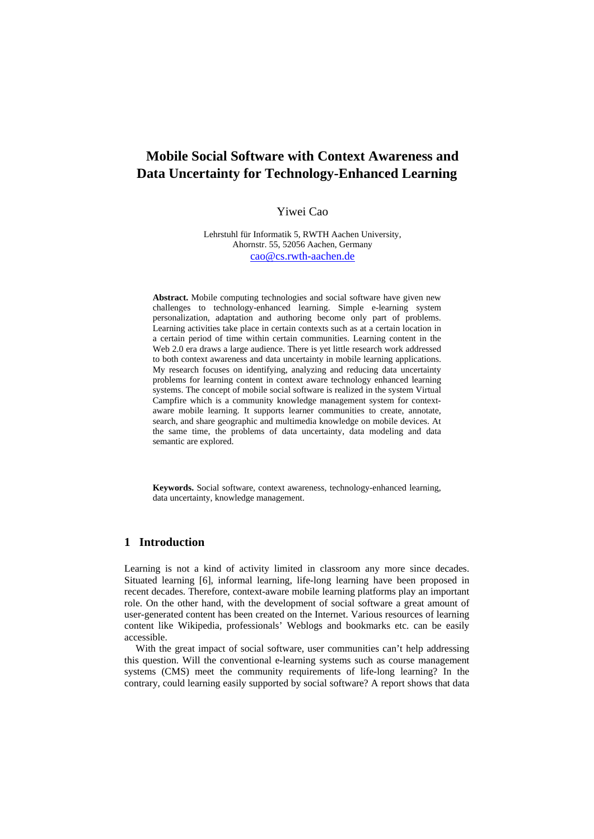# **Mobile Social Software with Context Awareness and Data Uncertainty for Technology-Enhanced Learning**

### Yiwei Cao

Lehrstuhl für Informatik 5, RWTH Aachen University, Ahornstr. 55, 52056 Aachen, Germany cao@cs.rwth-aachen.de

**Abstract.** Mobile computing technologies and social software have given new challenges to technology-enhanced learning. Simple e-learning system personalization, adaptation and authoring become only part of problems. Learning activities take place in certain contexts such as at a certain location in a certain period of time within certain communities. Learning content in the Web 2.0 era draws a large audience. There is yet little research work addressed to both context awareness and data uncertainty in mobile learning applications. My research focuses on identifying, analyzing and reducing data uncertainty problems for learning content in context aware technology enhanced learning systems. The concept of mobile social software is realized in the system Virtual Campfire which is a community knowledge management system for contextaware mobile learning. It supports learner communities to create, annotate, search, and share geographic and multimedia knowledge on mobile devices. At the same time, the problems of data uncertainty, data modeling and data semantic are explored.

**Keywords.** Social software, context awareness, technology-enhanced learning, data uncertainty, knowledge management.

## **1 Introduction**

Learning is not a kind of activity limited in classroom any more since decades. Situated learning [6], informal learning, life-long learning have been proposed in recent decades. Therefore, context-aware mobile learning platforms play an important role. On the other hand, with the development of social software a great amount of user-generated content has been created on the Internet. Various resources of learning content like Wikipedia, professionals' Weblogs and bookmarks etc. can be easily accessible.

With the great impact of social software, user communities can't help addressing this question. Will the conventional e-learning systems such as course management systems (CMS) meet the community requirements of life-long learning? In the contrary, could learning easily supported by social software? A report shows that data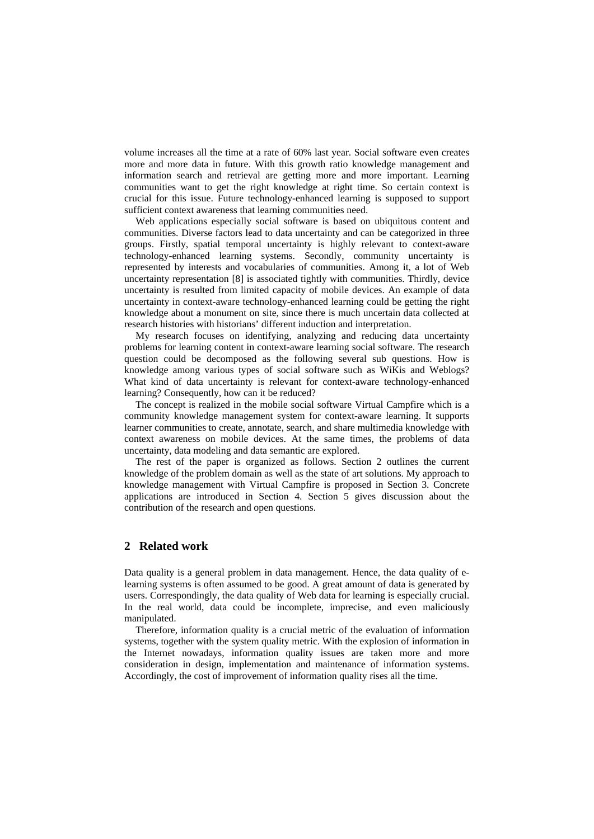volume increases all the time at a rate of 60% last year. Social software even creates more and more data in future. With this growth ratio knowledge management and information search and retrieval are getting more and more important. Learning communities want to get the right knowledge at right time. So certain context is crucial for this issue. Future technology-enhanced learning is supposed to support sufficient context awareness that learning communities need.

Web applications especially social software is based on ubiquitous content and communities. Diverse factors lead to data uncertainty and can be categorized in three groups. Firstly, spatial temporal uncertainty is highly relevant to context-aware technology-enhanced learning systems. Secondly, community uncertainty is represented by interests and vocabularies of communities. Among it, a lot of Web uncertainty representation [8] is associated tightly with communities. Thirdly, device uncertainty is resulted from limited capacity of mobile devices. An example of data uncertainty in context-aware technology-enhanced learning could be getting the right knowledge about a monument on site, since there is much uncertain data collected at research histories with historians' different induction and interpretation.

My research focuses on identifying, analyzing and reducing data uncertainty problems for learning content in context-aware learning social software. The research question could be decomposed as the following several sub questions. How is knowledge among various types of social software such as WiKis and Weblogs? What kind of data uncertainty is relevant for context-aware technology-enhanced learning? Consequently, how can it be reduced?

The concept is realized in the mobile social software Virtual Campfire which is a community knowledge management system for context-aware learning. It supports learner communities to create, annotate, search, and share multimedia knowledge with context awareness on mobile devices. At the same times, the problems of data uncertainty, data modeling and data semantic are explored.

The rest of the paper is organized as follows. Section 2 outlines the current knowledge of the problem domain as well as the state of art solutions. My approach to knowledge management with Virtual Campfire is proposed in Section 3. Concrete applications are introduced in Section 4. Section 5 gives discussion about the contribution of the research and open questions.

### **2 Related work**

Data quality is a general problem in data management. Hence, the data quality of elearning systems is often assumed to be good. A great amount of data is generated by users. Correspondingly, the data quality of Web data for learning is especially crucial. In the real world, data could be incomplete, imprecise, and even maliciously manipulated.

Therefore, information quality is a crucial metric of the evaluation of information systems, together with the system quality metric. With the explosion of information in the Internet nowadays, information quality issues are taken more and more consideration in design, implementation and maintenance of information systems. Accordingly, the cost of improvement of information quality rises all the time.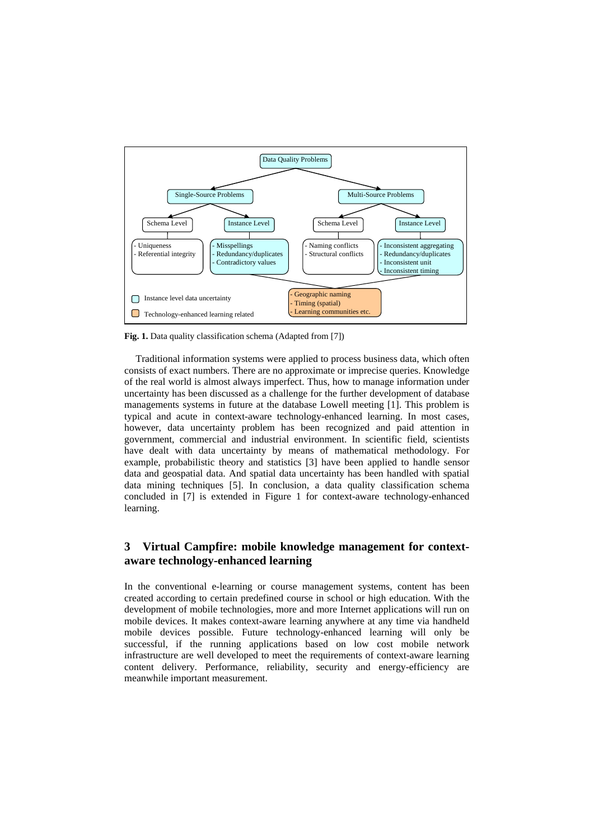

**Fig. 1.** Data quality classification schema (Adapted from [7])

Traditional information systems were applied to process business data, which often consists of exact numbers. There are no approximate or imprecise queries. Knowledge of the real world is almost always imperfect. Thus, how to manage information under uncertainty has been discussed as a challenge for the further development of database managements systems in future at the database Lowell meeting [1]. This problem is typical and acute in context-aware technology-enhanced learning. In most cases, however, data uncertainty problem has been recognized and paid attention in government, commercial and industrial environment. In scientific field, scientists have dealt with data uncertainty by means of mathematical methodology. For example, probabilistic theory and statistics [3] have been applied to handle sensor data and geospatial data. And spatial data uncertainty has been handled with spatial data mining techniques [5]. In conclusion, a data quality classification schema concluded in [7] is extended in Figure 1 for context-aware technology-enhanced learning.

# **3 Virtual Campfire: mobile knowledge management for contextaware technology-enhanced learning**

In the conventional e-learning or course management systems, content has been created according to certain predefined course in school or high education. With the development of mobile technologies, more and more Internet applications will run on mobile devices. It makes context-aware learning anywhere at any time via handheld mobile devices possible. Future technology-enhanced learning will only be successful, if the running applications based on low cost mobile network infrastructure are well developed to meet the requirements of context-aware learning content delivery. Performance, reliability, security and energy-efficiency are meanwhile important measurement.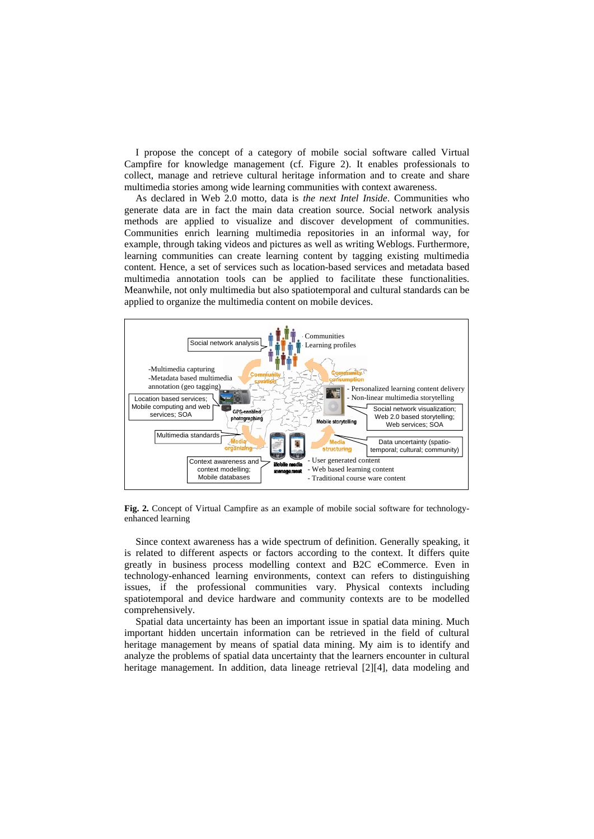I propose the concept of a category of mobile social software called Virtual Campfire for knowledge management (cf. Figure 2). It enables professionals to collect, manage and retrieve cultural heritage information and to create and share multimedia stories among wide learning communities with context awareness.

As declared in Web 2.0 motto, data is *the next Intel Inside*. Communities who generate data are in fact the main data creation source. Social network analysis methods are applied to visualize and discover development of communities. Communities enrich learning multimedia repositories in an informal way, for example, through taking videos and pictures as well as writing Weblogs. Furthermore, learning communities can create learning content by tagging existing multimedia content. Hence, a set of services such as location-based services and metadata based multimedia annotation tools can be applied to facilitate these functionalities. Meanwhile, not only multimedia but also spatiotemporal and cultural standards can be applied to organize the multimedia content on mobile devices.



**Fig. 2.** Concept of Virtual Campfire as an example of mobile social software for technologyenhanced learning

Since context awareness has a wide spectrum of definition. Generally speaking, it is related to different aspects or factors according to the context. It differs quite greatly in business process modelling context and B2C eCommerce. Even in technology-enhanced learning environments, context can refers to distinguishing issues, if the professional communities vary. Physical contexts including spatiotemporal and device hardware and community contexts are to be modelled comprehensively.

Spatial data uncertainty has been an important issue in spatial data mining. Much important hidden uncertain information can be retrieved in the field of cultural heritage management by means of spatial data mining. My aim is to identify and analyze the problems of spatial data uncertainty that the learners encounter in cultural heritage management. In addition, data lineage retrieval [2][4], data modeling and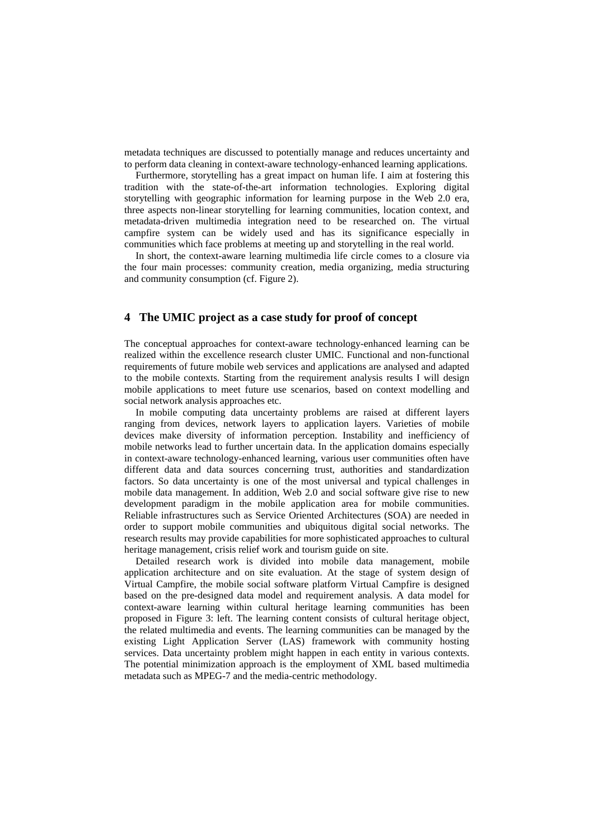metadata techniques are discussed to potentially manage and reduces uncertainty and to perform data cleaning in context-aware technology-enhanced learning applications.

Furthermore, storytelling has a great impact on human life. I aim at fostering this tradition with the state-of-the-art information technologies. Exploring digital storytelling with geographic information for learning purpose in the Web 2.0 era, three aspects non-linear storytelling for learning communities, location context, and metadata-driven multimedia integration need to be researched on. The virtual campfire system can be widely used and has its significance especially in communities which face problems at meeting up and storytelling in the real world.

In short, the context-aware learning multimedia life circle comes to a closure via the four main processes: community creation, media organizing, media structuring and community consumption (cf. Figure 2).

### **4 The UMIC project as a case study for proof of concept**

The conceptual approaches for context-aware technology-enhanced learning can be realized within the excellence research cluster UMIC. Functional and non-functional requirements of future mobile web services and applications are analysed and adapted to the mobile contexts. Starting from the requirement analysis results I will design mobile applications to meet future use scenarios, based on context modelling and social network analysis approaches etc.

In mobile computing data uncertainty problems are raised at different layers ranging from devices, network layers to application layers. Varieties of mobile devices make diversity of information perception. Instability and inefficiency of mobile networks lead to further uncertain data. In the application domains especially in context-aware technology-enhanced learning, various user communities often have different data and data sources concerning trust, authorities and standardization factors. So data uncertainty is one of the most universal and typical challenges in mobile data management. In addition, Web 2.0 and social software give rise to new development paradigm in the mobile application area for mobile communities. Reliable infrastructures such as Service Oriented Architectures (SOA) are needed in order to support mobile communities and ubiquitous digital social networks. The research results may provide capabilities for more sophisticated approaches to cultural heritage management, crisis relief work and tourism guide on site.

Detailed research work is divided into mobile data management, mobile application architecture and on site evaluation. At the stage of system design of Virtual Campfire, the mobile social software platform Virtual Campfire is designed based on the pre-designed data model and requirement analysis. A data model for context-aware learning within cultural heritage learning communities has been proposed in Figure 3: left. The learning content consists of cultural heritage object, the related multimedia and events. The learning communities can be managed by the existing Light Application Server (LAS) framework with community hosting services. Data uncertainty problem might happen in each entity in various contexts. The potential minimization approach is the employment of XML based multimedia metadata such as MPEG-7 and the media-centric methodology.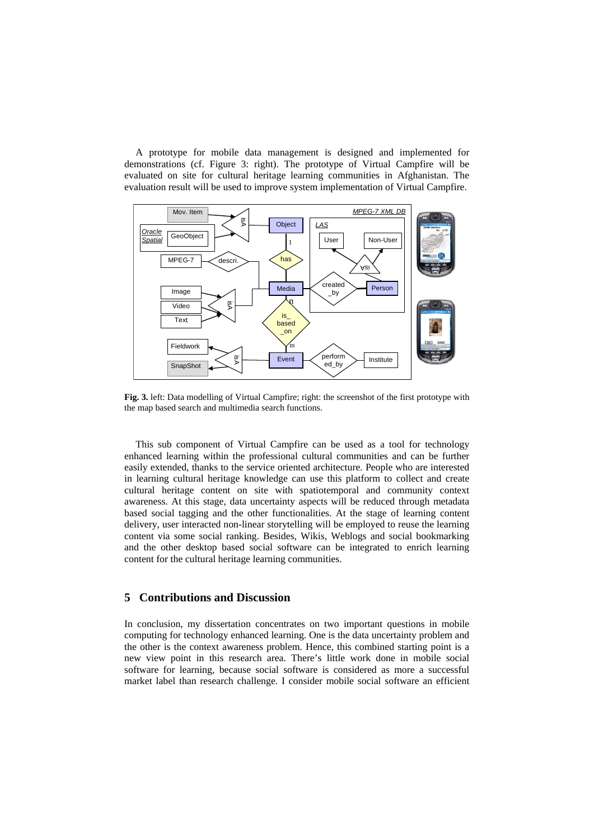A prototype for mobile data management is designed and implemented for demonstrations (cf. Figure 3: right). The prototype of Virtual Campfire will be evaluated on site for cultural heritage learning communities in Afghanistan. The evaluation result will be used to improve system implementation of Virtual Campfire.



**Fig. 3.** left: Data modelling of Virtual Campfire; right: the screenshot of the first prototype with the map based search and multimedia search functions.

This sub component of Virtual Campfire can be used as a tool for technology enhanced learning within the professional cultural communities and can be further easily extended, thanks to the service oriented architecture. People who are interested in learning cultural heritage knowledge can use this platform to collect and create cultural heritage content on site with spatiotemporal and community context awareness. At this stage, data uncertainty aspects will be reduced through metadata based social tagging and the other functionalities. At the stage of learning content delivery, user interacted non-linear storytelling will be employed to reuse the learning content via some social ranking. Besides, Wikis, Weblogs and social bookmarking and the other desktop based social software can be integrated to enrich learning content for the cultural heritage learning communities.

### **5 Contributions and Discussion**

In conclusion, my dissertation concentrates on two important questions in mobile computing for technology enhanced learning. One is the data uncertainty problem and the other is the context awareness problem. Hence, this combined starting point is a new view point in this research area. There's little work done in mobile social software for learning, because social software is considered as more a successful market label than research challenge. I consider mobile social software an efficient